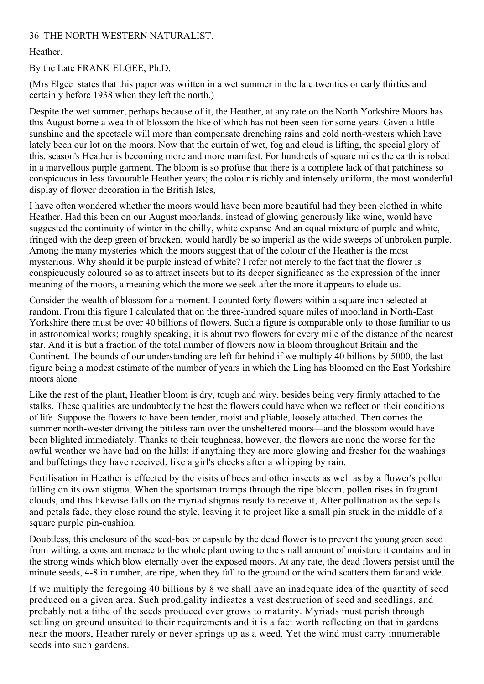## 36 THE NORTH WESTERN NATURALIST.

## Heather.

## By the Late FRANK ELGEE, Ph.D.

(Mrs Elgee states that this paper was written in a wet summer in the late twenties or early thirties and certainly before 1938 when they left the north.)

Despite the wet summer, perhaps because of it, the Heather, at any rate on the North Yorkshire Moors has this August borne a wealth of blossom the like of which has not been seen for some years. Given a little sunshine and the spectacle will more than compensate drenching rains and cold north-westers which have lately been our lot on the moors. Now that the curtain of wet, fog and cloud is lifting, the special glory of this. season's Heather is becoming more and more manifest. For hundreds of square miles the earth is robed in a marvellous purple garment. The bloom is so profuse that there is a complete lack of that patchiness so conspicuous in less favourable Heather years; the colour is richly and intensely uniform, the most wonderful display of flower decoration in the British Isles,

I have often wondered whether the moors would have been more beautiful had they been clothed in white Heather. Had this been on our August moorlands. instead of glowing generously like wine, would have suggested the continuity of winter in the chilly, white expanse And an equal mixture of purple and white, fringed with the deep green of bracken, would hardly be so imperial as the wide sweeps of unbroken purple. Among the many mysteries which the moors suggest that of the colour of the Heather is the most mysterious. Why should it be purple instead of white? I refer not merely to the fact that the flower is conspicuously coloured so as to attract insects but to its deeper significance as the expression of the inner meaning of the moors, a meaning which the more we seek after the more it appears to elude us.

Consider the wealth of blossom for a moment. I counted forty flowers within a square inch selected at random. From this figure I calculated that on the three-hundred square miles of moorland in North-East Yorkshire there must be over 40 billions of flowers. Such a figure is comparable only to those familiar to us in astronomical works; roughly speaking, it is about two flowers for every mile of the distance of the nearest star. And it is but a fraction of the total number of flowers now in bloom throughout Britain and the Continent. The bounds of our understanding are left far behind if we multiply 40 billions by 5000, the last figure being a modest estimate of the number of years in which the Ling has bloomed on the East Yorkshire moors alone

Like the rest of the plant, Heather bloom is dry, tough and wiry, besides being very firmly attached to the stalks. These qualities are undoubtedly the best the flowers could have when we reflect on their conditions of life. Suppose the flowers to have been tender, moist and pliable, loosely attached. Then comes the summer north-wester driving the pitiless rain over the unsheltered moors—and the blossom would have been blighted immediately. Thanks to their toughness, however, the flowers are none the worse for the awful weather we have had on the hills; if anything they are more glowing and fresher for the washings and buffetings they have received, like a girl's cheeks after a whipping by rain.

Fertilisation in Heather is effected by the visits of bees and other insects as well as by a flower's pollen falling on its own stigma. When the sportsman tramps through the ripe bloom, pollen rises in fragrant clouds, and this likewise falls on the myriad stigmas ready to receive it, After pollination as the sepals and petals fade, they close round the style, leaving it to project like a small pin stuck in the middle of a square purple pin-cushion.

Doubtless, this enclosure of the seed-box or capsule by the dead flower is to prevent the young green seed from wilting, a constant menace to the whole plant owing to the small amount of moisture it contains and in the strong winds which blow eternally over the exposed moors. At any rate, the dead flowers persist until the minute seeds, 4-8 in number, are ripe, when they fall to the ground or the wind scatters them far and wide.

If we multiply the foregoing 40 billions by 8 we shall have an inadequate idea of the quantity of seed produced on a given area. Such prodigality indicates a vast destruction of seed and seedlings, and probably not a tithe of the seeds produced ever grows to maturity. Myriads must perish through settling on ground unsuited to their requirements and it is a fact worth reflecting on that in gardens near the moors, Heather rarely or never springs up as a weed. Yet the wind must carry innumerable seeds into such gardens.